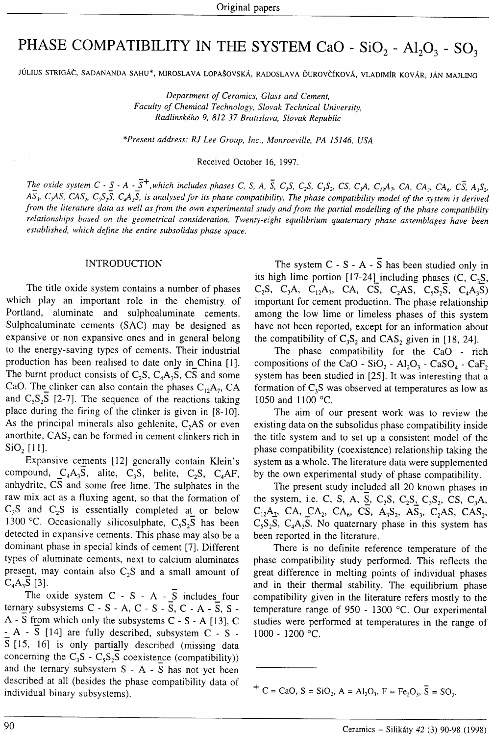# PHASE COMPATIBILITY IN THE SYSTEM CaO -  $SiO_2$  -  $Al_2O_3$  -  $SO_3$

JÚLIUS STRIGÁČ, SADANANDA SAHU\*, MIROSLAVA LOPAŠOVSKÁ, RADOSLAVA ĎUROVČÍKOVÁ, VLADIMÍR KOVÁR, JÁN MAJLING

Department of Ceramics, Glass and Cement, Faculty of Chemical Technology, Slovak Technical University, Radlinského 9, 8]2 37 Bratislava, Slovak Republic

\*Present address: RJ Lee Group, Inc., Monroeville, PA 15146, USA

Received October 16. 1991.

The oxide system C -  $S$  - A -  $\overline{S}$ <sup>+</sup>, which includes phases C, S, A,  $\overline{S}$ , C<sub>3</sub>S, C<sub>2</sub>S, C<sub>3</sub>S<sub>2</sub>, CS, C<sub>3</sub>A, C<sub>12</sub>A<sub>7</sub>, CA, CA<sub>2</sub>, CA<sub>6</sub>, C<sub>3</sub>, A<sub>3</sub>S<sub>2</sub>,  $A\overline{S}_3$ , C<sub>2</sub>AS, CAS<sub>2</sub>, C<sub>3</sub>S<sub>2</sub>S, C<sub>4</sub>A<sub>3</sub>S, is analysed for its phase compatibility. The phase compatibility model of the system is derived from the literature data as well as from the own experimental study and from the partial modelling of the phase compatibility relationships based on the geometrical consideration. Twenty-eight equilibrium quaternary phase assemblages have been established, which define the entire subsolidus phase space.

### INTRODUCTION

The title oxide system contains a number of phases which play an important role in the chemistry of Portland, aluminate and sulphoaluminate cements. Sulphoaluminate cements (SAC) may be designed as expansive or non expansive ones and in general belong to the energy-saving types of cements. Their industrial production has been realised to date only in China [1]. The burnt product consists of  $C_2S$ ,  $C_4A_3S$ , CS and some CaO. The clinker can also contain the phases  $C_1, A_7, CA$ and  $C_5S_2S$  [2-7]. The sequence of the reactions taking place during the firing of the clinker is given in [8-10]. As the principal minerals also gehlenite,  $C<sub>2</sub>AS$  or even anorthite,  $CAS<sub>2</sub>$  can be formed in cement clinkers rich in  $SiO<sub>2</sub>$  [11].

Expansive cements [12] generally contain Klein's compound,  $C_4A_3S$ , alite,  $C_3S$ , belite,  $C_2S$ ,  $C_4AF$ , anhydrite, CS and some free lime. The sulphates in the raw mix act as a fluxing agent, so that the formation of  $C_3S$  and  $C_2S$  is essentially completed at or below 1300 °C. Occasionally silicosulphate,  $C_5S_2S$  has been detected in expansive cements. This phase may also be <sup>a</sup> dominant phase in special kinds of cement [7]. Different types of aluminate cements, next to calcium aluminates present, may contain also  $C_2S$  and a small amount of  $C_4A_3S$  [3].

The oxide system  $C - S - A - \overline{S}$  includes four ternary subsystems  $C - S - A$ ,  $C - S - \overline{S}$ ,  $C - A - \overline{S}$ ,  $S A - S$  from which only the subsystems  $C - S - A$  [13],  $C$  $- A - S$  [14] are fully described, subsystem C - S - $\overline{S}$  [15, 16] is only partially described (missing data concerning the  $C_3S - C_5S_2S$  coexistence (compatibility)) and the ternary subsystem  $S - A - \overline{S}$  has not yet been described at all (besides the phase compatibility data of individual binary subsystems).

The system  $C - S - A - \overline{S}$  has been studied only in its high lime portion [17-24] including phases (C, C<sub>3</sub>S,  $C_2S$ ,  $C_3A$ ,  $C_{12}A_7$ , CA, CS,  $C_2AS$ ,  $C_5S_2S$ ,  $C_4A_3S$ ) important for cement production. The phase relationship among the low lime or limeless phases of this system have not been reported, except for an information about the compatibility of  $C_3S_2$  and  $CAS_2$  given in [18, 24].

The phase compatibility for the CaO - rich compositions of the CaO - SiO<sub>2</sub> - Al<sub>2</sub>O<sub>3</sub> - CaSO<sub>4</sub> - CaF<sub>2</sub> system has been studied in [25]. It was interesting that <sup>a</sup> formation of  $C_3S$  was observed at temperatures as low as 1050 and 1100 "C.

The aim of our present work was to review the existing data on the subsolidus phase compatibility inside the title system and to set up a consistent model of the phase compatibility (coexistence) relationship taking the system as a whole. The literature data were supplemented by the own experimental study of phase compatibility.

The present study included all 20 known phases in the system, i.e. C, S, A,  $\overline{S}$ , C<sub>3</sub>S, C<sub>2</sub>S<sub>2</sub>, C<sub>3</sub>S<sub>2</sub>, CS, C<sub>3</sub>A,  $C_{12}A_2$ , CA, CA<sub>2</sub>, CA<sub>6</sub>, C<sub>3</sub>, A<sub>3</sub>S<sub>2</sub>, A<sub>3</sub><sub>3</sub>, C<sub>2</sub>AS, CAS<sub>2</sub>,  $C_5S_2S$ ,  $C_4A_3S$ . No quaternary phase in this system has been reported in the literature.

There is no definite reference temperature of the phase compatibility study performed. This reflects the great difference in melting points of individual phases and in their thermal stability. The equilibrium phase compatibility given in the literature refers mostly to the temperature range of  $950 - 1300$  °C. Our experimental studies were performed at temperatures in the range of 1000 - 1200 "c.

 $+ C = CaO, S = SiO_2, A = Al_2O_3, F = Fe_2O_3, \overline{S} = SO_3.$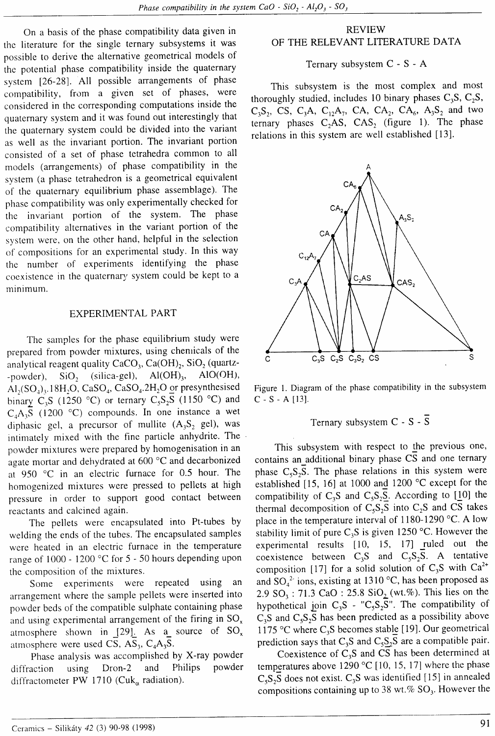On a basis of the phase compatibility data given in thc literature for the single ternary subsystems it was possible to derive the alternative geometrical models of the potential phase compatibility inside the quaternary system 126-28). All possible arrangements of phase compatibility, from a given set of phases, were considered in the corresponding computations inside the quaternary system and it was found out interestingly that the quaternary system could be divided into the variant as well as the invariant portion. The invariant portion consisted of a set of phase tetrahedra common to all models (arrangements) of phase compatibility in the svstem (a phase tetrahedron is a geometrical equivalent of the quaternary equilibrium phase assemblage). The phase compatibility was only experimentally checked for the invariant portion of the system. The phase compatibility alternatives in the variant portion of the system were, on the other hand, helpful in the selection of compositions for an experimental study. In this way the number of experiments identifying the phase coexistence in the quaternary system could be kept to <sup>a</sup> minimum.

## EXPERIMENTAL PART

The sarnples for the phase equilibrium study were preparcd from powder mixtures, using chenricals of the analytical reagent quality  $CaCO<sub>3</sub>$ , Ca(OH)<sub>2</sub>, SiO<sub>2</sub> (quartz--powder),  $SiO<sub>2</sub>$  (silica-gel),  $Al(OH)<sub>3</sub>$ ,  $AlO(OH)$ ,  $AI<sub>2</sub>(SO<sub>4</sub>)<sub>3</sub>$ . 18H<sub>2</sub>O, CaSO<sub>4</sub>, CaSO<sub>4</sub>. 2H<sub>2</sub>O or presynthesised binary C<sub>3</sub>S (1250 °C) or ternary C<sub>5</sub>S<sub>2</sub>S (1150 °C) and  $C_4A_3S$  (1200 °C) compounds. In one instance a wet diphasic gel, a precursor of mullite  $(A_3S_2 \text{ gel})$ , was intimately mixed with the fine particle anhydrite. The powder mixtures were prepared by homogenisation in an agate mortar and dehydrated at  $600\,^{\circ}\text{C}$  and decarbonized at 950 "C in an electric furnace for 0.5 hour. The homogenized mixtures were pressed to pellets at high pressure in order to support good contact between reactants and calcined again.

The pellets were encapsulated into Pt-tubes by welding the ends of the tubes. The encapsulated samples were heated in an electric furnace in the temperature range of  $1000 - 1200$  °C for 5 - 50 hours depending upon the composition of the mixtures.

Some experiments were repeated using an arrangement where the sample pellets were inserted into powder beds of the compatible sulphate containing phase and using experimental arrangement of the firing in  $SO_x$ atmosphere shown in [29]. As a source of  $SO_x$ atmosphere were used CS,  $AS_3$ ,  $C_4A_3S$ .

Phase analysis was accomplished by X-ray powder diffraction using Dron-2 and Philips powder diffractometer PW 1710 (Cuk<sub>a</sub> radiation).

# REVIEW OF THE RELEVANT LITERATURE DATA

Ternary subsystem C - S - A

This subsystem is the most complex and most thoroughly studied, includes 10 binary phases  $C_3S$ ,  $C_2S$ ,  $C_3S_2$ , CS,  $C_3A$ ,  $C_{12}A_7$ , CA, CA<sub>2</sub>, CA<sub>6</sub>, A<sub>3</sub>S<sub>2</sub> and two ternary phases  $C_2AS$ ,  $CAS_2$  (figure 1). The phase relations in this system are well established [13].



Figure l. Diagram of the phase compatibility in the subsystem  $C - S - A$  [13].

# Ternary subsystem  $C - S - \overline{S}$

This subsystem with respect to the previous one, contains an additional binary phase  $\overline{CS}$  and one ternary phase  $C_5S_2S$ . The phase relations in this system were established [15, 16] at 1000 and 1200 "C except for the compatibility of  $C_3S$  and  $C_5S_2S$ . According to [10] the thermal decomposition of  $C_5S_2S$  into  $C_2S$  and CS takes place in the temperature interval of 1180-1290  $\,^{\circ}$ C. A low stability limit of pure  $C_3S$  is given 1250 °C. However the experimental results [10, 15, l7] ruled out the coexistence between  $C_3S$  and  $C_5S_2S$ . A tentative composition [17] for a solid solution of  $C_3S$  with  $Ca^{2+}$ and  $SO_4^2$  ions, existing at 1310 °C, has been proposed as 2.9 SO<sub>3</sub> : 71.3 CaO : 25.8 SiO<sub>2</sub> (wt.%). This lies on the hypothetical join C<sub>3</sub>S - "C<sub>5</sub>S<sub>2</sub>S". The compatibility of  $C_3S$  and  $C_5S_2S$  has been predicted as a possibility above 1175 °C where  $C_3S$  becomes stable [19]. Our geometrical prediction says that  $C_3S$  and  $C_5S_2S$  are a compatible pair.

Coexistence of  $C_3S$  and CS has been determined at temperatures above 1290 °C [10, 15, 17] where the phase C,S2Š does not exist' C'S was identified Il5] in annealed compositions containing up to 38 wt.%  $SO_3$ . However the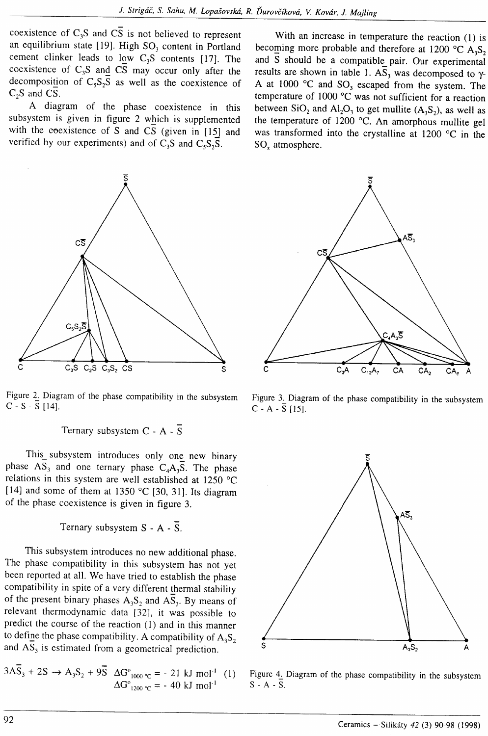coexistence of  $C_3S$  and  $\overline{CS}$  is not believed to represent an equilibrium state [19]. High  $SO<sub>3</sub>$  content in Portland cement clinker leads to low  $C_3S$  contents [17]. The coexistence of  $C_3S$  and  $C\overline{S}$  may occur only after the decomposition of  $C_5S_2S$  as well as the coexistence of  $C_2S$  and CS.

A diagram of the phase coexistence in this subsystem is given in figure 2 which is supplemented with the coexistence of S and CS (given in  $[15]$  and verified by our experiments) and of  $C_3S$  and  $C_5S_5S$ .



Figure 2. Diagram of the phase compatibility in the subsystem C - S -  $\overline{S}$  [14].

Ternary subsystem  $C - A - \overline{S}$ 

This\_ subsystem introduces only ong new binary phase  $AS_3$  and one ternary phase  $C_4A_3\overline{S}$ . The phase relations in this system are well established at  $1250 \text{ °C}$ [14] and some of them at 1350 °C [30, 31]. Its diagram of the phase coexistence is given in figure 3.

Ternary subsystem  $S - A - \overline{S}$ .

This subsystem introduces no new additional phase. The phase compatibility in this subsysrem has not yet been reported at all. We have tried to establish the phase compatibility in spite of a very different thermal stability of the present binary phases  $A_3S_2$  and  $AS_3$ . By means of relevant thermodynamic data [32], it was possible to predict the course of the reaction (l) and in this manner to define the phase compatibility. A compatibility of  $A_3S_2$ and  $A\overline{S}_3$  is estimated from a geometrical prediction.

$$
3A\overline{S}_3 + 2S \rightarrow A_3S_2 + 9\overline{S} \quad \Delta G^{\circ}_{1000 \text{ °C}} = -21 \text{ kJ mol}^{-1} \quad (1)
$$

$$
\Delta G^{\circ}_{1200 \text{ °C}} = -40 \text{ kJ mol}^{-1}
$$

With an increase in temperature the reaction (1) is becoming more probable and therefore at 1200 °C  $A_3S_2$ and S should be a compatible pair. Our experimental results are shown in table 1.  $AS_3$  was decomposed to  $\gamma$ -A at 1000  $^{\circ}$ C and SO<sub>3</sub> escaped from the system. The temperature of 1000 "C was not sufficient for a reaction between  $SiO<sub>2</sub>$  and  $Al<sub>2</sub>O<sub>3</sub>$  to get mullite  $(A<sub>3</sub>S<sub>2</sub>)$ , as well as the temperature of 1200  $^{\circ}$ C. An amorphous mullite gel was transformed into the crystalline at 1200  $^{\circ}$ C in the SO<sub>x</sub> atmosphere.



Figure 3. Diagram of the phase compatibility in the subsystem  $C - A - \overline{S}$  [15].



Figure 4. Diagram of the phase compatibiliry in the subsystem  $S - A - \overline{S}$ .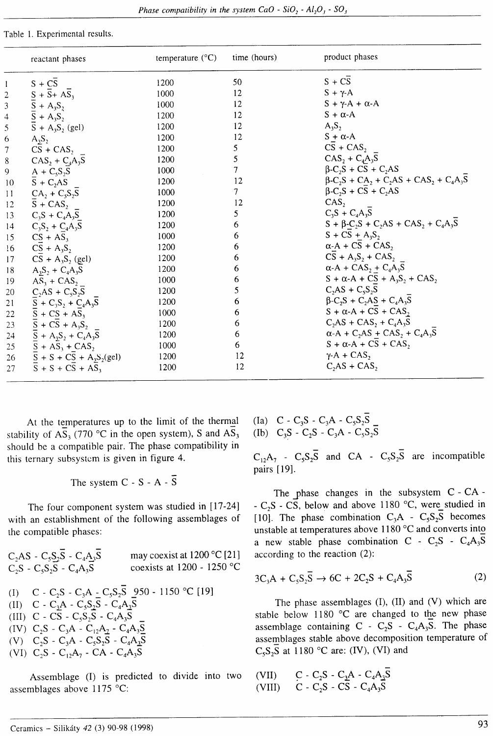Table 1. Experimental results.

|                 | reactant phases                                                                                                                                                                | temperature $(^{\circ}C)$ | time (hours) | product phases                                                                                                       |
|-----------------|--------------------------------------------------------------------------------------------------------------------------------------------------------------------------------|---------------------------|--------------|----------------------------------------------------------------------------------------------------------------------|
|                 | 1 $S + \overline{CS}$<br>2 $S + \overline{S} + A_3S_3$<br>3 $S + A_3S_2$<br>4 $S + A_3S_2$<br>5 $S + A_3S_2$ (ge                                                               | 1200                      | 50           | $S + CS$                                                                                                             |
|                 |                                                                                                                                                                                | 1000                      | 12           | $S + \gamma$ -A                                                                                                      |
|                 |                                                                                                                                                                                | 1000                      | 12           | $S + \gamma A + \alpha A$                                                                                            |
|                 |                                                                                                                                                                                | 1200                      | 12           | $S + \alpha - A$                                                                                                     |
|                 | $\bar{S} + A_3S_2$ (gel)                                                                                                                                                       | 1200                      | 12           | $A_3S_2$                                                                                                             |
| $\epsilon$      | $A_3S_2$                                                                                                                                                                       | 1200                      | 12           | $S + \alpha - A$                                                                                                     |
|                 | 7 $\overrightarrow{CS} + \overrightarrow{CAS}_2$<br>8 $\overrightarrow{CAS}_2 + \overrightarrow{C}_3A_3\overrightarrow{S}$<br>9 $\underrightarrow{A} + \overrightarrow{Cs}_2S$ | 1200                      | 5            | $\overline{CS}$ + CAS,                                                                                               |
|                 |                                                                                                                                                                                | 1200                      | 5            | $CAS_2 + C_4A_3S$                                                                                                    |
|                 |                                                                                                                                                                                | 1000                      | $\tau$       | $\beta$ -C <sub>2</sub> S + CS + C <sub>2</sub> AS                                                                   |
| 10              | $\overline{S} + C_2AS$                                                                                                                                                         | 1200                      | 12           | $\beta$ -C <sub>2</sub> S + CA <sub>2</sub> + C <sub>2</sub> AS + CAS <sub>2</sub> + C <sub>4</sub> A <sub>3</sub> S |
| 11              | $CA_2 + C_5S_2S$                                                                                                                                                               | 1000                      | 7            | $\beta$ -C <sub>2</sub> S + C <sub>5</sub> + C <sub>2</sub> AS                                                       |
| 12              | $\overline{S}$ + CAS <sub>2</sub>                                                                                                                                              | 1200                      | 12           | CAS <sub>2</sub>                                                                                                     |
| 13 <sup>7</sup> | $C_3S + C_4A_3S$                                                                                                                                                               | 1200                      | 5            | $C_3S + C_4A_3S$                                                                                                     |
| 14              | $C_3S_2 + C_4A_3S$                                                                                                                                                             | 1200                      | 6            | $S + \beta - C_2S + C_2AS + CAS_2 + C_4A_3S$                                                                         |
| 15              | $CS + AS_3$                                                                                                                                                                    | 1000                      | 6            | $S + CS + A_3S_2$                                                                                                    |
| 16              | $CS + A_3S_2$                                                                                                                                                                  | 1200                      | 6            | $\alpha$ -A + CS + CAS,                                                                                              |
| 17              | $CS + A_3S_2$ (gel)                                                                                                                                                            | 1200                      | 6            | $CS + A_3S_2 + CAS_2$                                                                                                |
| 18              | $A_3S_2 + C_4A_3S$                                                                                                                                                             | 1200                      | 6            | $\alpha$ -A + CAS <sub>2</sub> + C <sub>4</sub> A <sub>3</sub> S                                                     |
| 19              | $AS_3 + CAS_2$                                                                                                                                                                 | 1000                      | 6            | $S + \alpha-A + CS + A_3S_2 + CAS_2$                                                                                 |
| 20              | $C_2AS + C_3S_2S$                                                                                                                                                              | 1200                      | 5            | $C_2AS + C_5S_2S$                                                                                                    |
| 21              | $S + C_3S_2 + C_4A_3S$                                                                                                                                                         | 1200                      | 6            | $\beta$ -C <sub>2</sub> S + C <sub>2</sub> A <sub>3</sub> S + C <sub>4</sub> A <sub>3</sub> S                        |
| 22              | $\overline{S}$ + CS + A $\overline{S}_3$                                                                                                                                       | 1000                      | 6            | $S + \alpha - A + CS + CAS_2$                                                                                        |
|                 | 23 $\bar{S} + C\bar{S} + A_3\bar{S}$                                                                                                                                           | 1200                      | 6            | $C_2AS + CAS_2 + C_4A_3S$                                                                                            |
|                 | 24 $\bar{S} + A_3S_2 + C_4A_3\bar{S}$                                                                                                                                          | 1200                      | 6            | $\alpha$ -A + C <sub>2</sub> AS + CAS <sub>2</sub> + C <sub>4</sub> A <sub>3</sub> S                                 |
| 25              | $S + AS_3 + CAS_2$                                                                                                                                                             | 1000                      | 6            | $S + \alpha - A + CS + CAS$                                                                                          |
|                 | 26 $\bar{S} + S + C\bar{S} + A_3S_2(\text{gel})$                                                                                                                               | 1200                      | 12           | $\gamma$ -A + CAS,                                                                                                   |
| 27              | $\overline{S}$ + S + CS + AS <sub>3</sub>                                                                                                                                      | 1200                      | 12           | $C1AS + CAS$                                                                                                         |

At the temperatures up to the limit of the thermal stability of AS<sub>3</sub> (770 °C in the open system), S and AS<sub>3</sub> should be a compatible pair. The phase compatibility in this ternary subsystem is given in figure 4.

The system 
$$
C - S - A - S
$$

The four component system was studied in [17-24] with an establishment of the following assemblages of the compatible phases:

Assemblage (I) is predicted to divide into two assemblages above 1175 °C:

(Ia)  $C - C_3S - C_3A - C_5S_2S$ <br>(Ib)  $C_3S - C_2S - C_3A - C_5S_2S$ 

 $C_{12}A_7 - C_5S_2\overline{S}$  and CA -  $C_5S_2\overline{S}$  are incompatible pairs [19].

The phase changes in the subsystem  $C - CA$ -  $C_2S$  -  $C\overline{S}$ , below and above 1180 °C, were studied in [10]. The phase combination  $C_3A - C_5S_2S$  becomes unstable at temperatures above 1180 °C and converts into a new stable phase combination C -  $C_2S$  -  $C_4A_3S$ according to the reaction (2).

$$
3C_3A + C_5S_2\overline{S} \rightarrow 6C + 2C_2S + C_4A_3\overline{S}
$$
 (2)

The phase assemblages (I), (II) and (V) which are stable below 1180 °C are changed to the new phase assemblage containing  $C - C_2S - C_4A_3S$ . The phase assemblages stable above decomposition temperature of  $C_5S_2S$  at 1180 °C are: (IV), (VI) and

$$
\begin{array}{ll}\n\text{(VII)} & \text{C - C}_2\text{S - C}_3\text{A - C}_4\text{A}_3\text{S} \\
\text{(VIII)} & \text{C - C}_2\text{S - CS - C}_4\text{A}_3\text{S}\n\end{array}
$$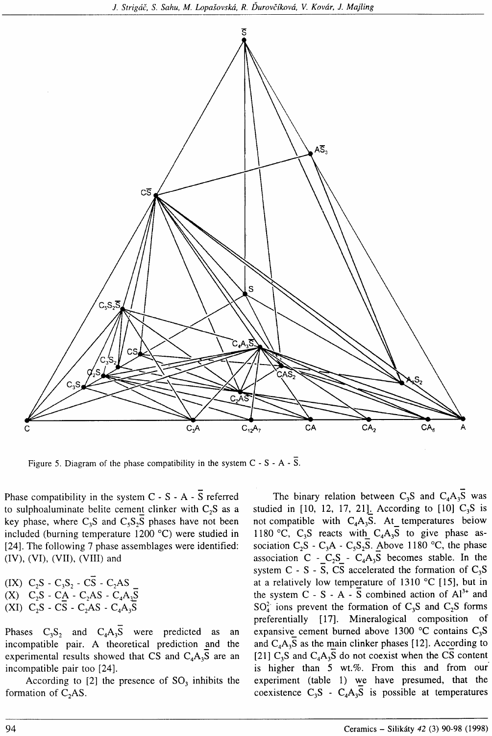

Figure 5. Diagram of the phase compatibility in the system  $C - S - A - \overline{S}$ .

Phase compatibility in the system  $C - S - A - \overline{S}$  referred to sulphoaluminate belite cement clinker with  $C_2S$  as a key phase, where  $C_3S$  and  $C_5S_2S$  phases have not been included (burning temperature  $1200 \degree C$ ) were studied in [24]. The following 7 phase assemblages were identified:  $(IV)$ ,  $(VI)$ ,  $(VII)$ ,  $(VIII)$  and

(IX)  $C_2S - C_3S_2 - C\overline{S} - C_2AS$ <br>(X)  $C_2S - CA - C_2AS - C_4A_3\overline{S}$ (XI)  $C_2S - C\overline{S} - C_2AS - C_4A_3\overline{S}$ 

Phases  $C_3S_2$  and  $C_4A_3\overline{S}$  were predicted as an incompatible pair. A theoretical prediction and the experimental results showed that CS and  $C_4A_3S$  are an incompatible pair too [24].

According to  $[2]$  the presence of  $SO<sub>3</sub>$  inhibits the formation of  $C<sub>2</sub>AS$ .

The binary relation between C<sub>3</sub>S and C<sub>4</sub>A<sub>3</sub>S was studied in  $[10, 12, 17, 21]$ . According to  $[10]$  C<sub>3</sub>S is not compatible with  $C_4A_3\overline{S}$ . At temperatures below 1180 °C, C<sub>3</sub>S reacts with  $C_4A_3S$  to give phase association  $C_2S - C_3A - C_5S_2S$ . Above 1180 °C, the phase association C -  $C_2S$  -  $C_4A_3S$  becomes stable. In the system C - S - S, CS accelerated the formation of  $C_3S$ at a relatively low temperature of  $1310$  °C [15], but in the system  $C - S - A - \overline{S}$  combined action of  $Al^{3+}$  and  $SO<sub>4</sub><sup>2</sup>$  ions prevent the formation of  $C<sub>3</sub>S$  and  $C<sub>2</sub>S$  forms preferentially [17]. Mineralogical composition of expansive cement burned above 1300 °C contains  $C_3S$ and  $C_4A_3S$  as the main clinker phases [12]. According to [21]  $C_3S$  and  $C_4A_3\overline{S}$  do not coexist when the CS content is higher than 5 wt.%. From this and from our experiment (table 1) we have presumed, that the coexistence  $C_3S - C_4A_3S$  is possible at temperatures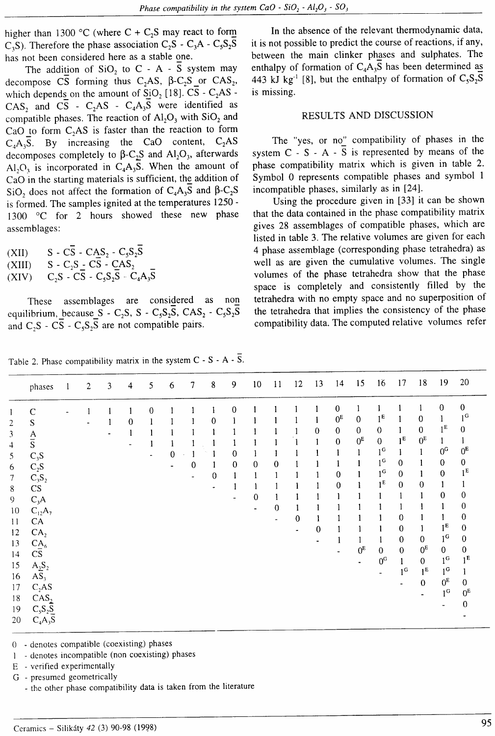higher than 1300 °C (where C +  $C_2S$  may react to form  $C_3S$ ). Therefore the phase association  $C_2S - C_3A - C_5S_2S$ has not been considered here as a stable one.

The addition of  $SiO_2$  to C - A -  $\overline{S}$  system may decompose CS forming thus  $C_2AS$ ,  $\beta$ -C<sub>2</sub>S or CAS<sub>2</sub>, which depends on the amount of  $SiO<sub>2</sub>$  [18]. CS - C<sub>2</sub>AS - $CAS_2$  and  $\overline{CS}$  -  $C_2AS$  -  $C_4A_3\overline{S}$  were identified as compatible phases. The reaction of  $Al_2O_3$  with  $SiO_2$  and CaO to form  $C_2AS$  is faster than the reaction to form  $C_4A_3S$ . By increasing the CaO content,  $C_2AS$ decomposes completely to  $\beta$ -C<sub>2</sub>S and Al<sub>2</sub>O<sub>3</sub>, afterwards Al<sub>2</sub>O<sub>3</sub> is incorporated in C<sub>4</sub>A<sub>3</sub>S. When the amount of CaO in the starting materials is sufficient, the addition of SiO<sub>2</sub> does not affect the formation of  $C_4A_3S$  and  $\beta$ -C<sub>2</sub>S is formed. The samples ignited at the temperatures 1250 - 1300 °C for 2 hours showed these new phase assemblages:

- (XII)  $S C\overline{S} CAS_2 C_5S_2\overline{S}$
- $(XIII)$  S C<sub>2</sub>S C<sub>2</sub>S C<sub>AS</sub>
- $(XIV)$   $C_2S \overline{C}\overline{S} C_5S_2\overline{S} C_4A_3\overline{S}$

These assemblages are considered as non equilibrium, because  $S$  - C<sub>2</sub>S, S - C<sub>5</sub>S<sub>2</sub>S, CAS<sub>2</sub> - C<sub>5</sub>S<sub>2</sub>S and  $C_2S$  -  $CS$  -  $C_5S_2S$  are not compatible pairs.

In the absence of the relevant thermodynamic data, it is not possible to predict the course of reactions, if any, between the main clinker phases and sulphates. The enthalpy of formation of  $C_4A_3S$  has been determined as 443 kJ kg<sup>-1</sup> [8], but the enthalpy of formation of  $C_5S_2S$ is missing.

#### RESULTS AND DISCUSSION

The "yes, or no" compatibility of phases in the system  $C - S - A - S$  is represented by means of the phase compatibility matrix which is given in table 2. Symbol 0 represents compatible phases and symbol <sup>I</sup> incompatible phases, similarly as in [24].

Using the procedure given in [33] it can be shown that the data contained in the phase compatibility matrix gives 28 assemblages of compatible phases, which are listed in table 3. The relative volumes are given for each 4 phase assemblage (corresponding phase tetrahedra) as well as are given the cumulative volumes. The single volumes of the phase tetrahedra show that the phase space is completely and consistently filled by the tetrahedra with no empty space and no superposition of the tetrahedra that implies the consistency of the phase compatibility data. The computed relative volumes refer

|  |  | Table 2. Phase compatibility matrix in the system $C - S - A - S$ . |  |  |  |  |  |  |  |  |
|--|--|---------------------------------------------------------------------|--|--|--|--|--|--|--|--|
|--|--|---------------------------------------------------------------------|--|--|--|--|--|--|--|--|

|                         | phases                 | $\mathbf{1}$ | $\mathbf{2}$ | 3 | $\overline{4}$ | 5 | 6           | $\overline{7}$ | 8 | 9 | 10             | $\overline{11}$ | $12 \,$ | 13          | 14             | 15             | 16             | 17             | 18             | 19             | 20                  |
|-------------------------|------------------------|--------------|--------------|---|----------------|---|-------------|----------------|---|---|----------------|-----------------|---------|-------------|----------------|----------------|----------------|----------------|----------------|----------------|---------------------|
| 1                       | C                      |              |              |   |                | 0 |             |                |   | 0 |                |                 |         |             | $\bf{0}$       |                |                |                |                | $\bf{0}$       | $\mathbf 0$         |
| $\overline{\mathbf{c}}$ | S                      |              |              |   | $\theta$       |   |             |                | 0 |   |                |                 |         |             | 0 <sup>E</sup> | $\mathbf 0$    | 1 <sup>E</sup> |                | $\bf{0}$       |                | 1 <sub>c</sub>      |
| 3                       |                        |              |              |   |                |   |             |                |   |   |                |                 |         | 0           | $\mathbf 0$    | $\mathbf{0}$   | $\mathbf 0$    |                | $\mathbf{0}$   | $1^E$          | $\bf{0}$            |
| 4                       | $rac{A}{S}$            |              |              |   |                | 1 |             |                |   |   |                |                 |         |             | $\mathbf 0$    | 0 <sub>E</sub> | $\bf{0}$       | 1 <sup>E</sup> | $0_{\rm E}$    |                |                     |
| 5                       |                        |              |              |   |                |   | $\mathbf 0$ |                |   | 0 |                |                 |         |             |                |                | 1 <sup>C</sup> |                | 1              | 0 <sub>c</sub> | 0 <sup>E</sup>      |
|                         | $C_3S$                 |              |              |   |                |   |             | $\bf{0}$       |   | 0 | 0              | 0               |         |             |                |                | 1 <sup>C</sup> | 0              |                | $\mathbf{0}$   | $\mathbf{0}$        |
| 6                       | $C_2S$                 |              |              |   |                |   |             |                | 0 |   |                |                 |         |             | 0              |                | 1 <sup>G</sup> | 0              | 1              | $\mathbf 0$    | 1 <sup>E</sup>      |
| $\boldsymbol{7}$        | $C_3S_2$               |              |              |   |                |   |             |                |   |   |                |                 |         |             | 0              |                | 1 <sup>E</sup> | $\mathbf 0$    | $\mathbf{0}$   |                |                     |
| 8                       | $\mathbf{C}\mathbf{S}$ |              |              |   |                |   |             |                |   | ٠ | 0              |                 |         |             |                |                |                |                |                | 0              | 0                   |
| 9                       | $C_3A$                 |              |              |   |                |   |             |                |   |   | $\blacksquare$ | 0               |         |             |                |                |                |                |                |                | 0                   |
| 10                      | $C_{12}A_7$            |              |              |   |                |   |             |                |   |   |                |                 |         |             |                |                |                | 0              |                |                | 0                   |
| 11                      | CA                     |              |              |   |                |   |             |                |   |   |                |                 | 0       |             |                |                |                | $\bf{0}$       | 1              | $1^E$          | 0                   |
| 12                      | CA <sub>2</sub>        |              |              |   |                |   |             |                |   |   |                |                 |         | $\mathbf 0$ |                |                |                |                | $\mathbf{0}$   | 1 <sub>c</sub> | 0                   |
| 13                      | CA <sub>6</sub>        |              |              |   |                |   |             |                |   |   |                |                 |         |             |                |                |                | $\bf{0}$       |                |                |                     |
| 14                      | CS                     |              |              |   |                |   |             |                |   |   |                |                 |         |             |                | $0_{\rm E}$    | $\mathbf{0}$   | $\mathbf{0}$   | 0 <sup>E</sup> | $\bf{0}$       | 0<br>1 <sup>E</sup> |
| 15                      | $A_2S_2$               |              |              |   |                |   |             |                |   |   |                |                 |         |             |                |                | 0 <sub>c</sub> |                | $\mathbf{0}$   | $1^{\text{G}}$ |                     |
| 16                      | AS <sub>3</sub>        |              |              |   |                |   |             |                |   |   |                |                 |         |             |                |                |                | 1 <sup>G</sup> | 1 <sup>E</sup> | 1 <sup>G</sup> | 1                   |
| 17                      | $C_2AS$                |              |              |   |                |   |             |                |   |   |                |                 |         |             |                |                |                |                | $\bf{0}$       | $0E$           | $\Omega$            |
| 18                      | CAS <sub>2</sub>       |              |              |   |                |   |             |                |   |   |                |                 |         |             |                |                |                |                | ٠              | 1 <sup>G</sup> | $0_{\rm E}$         |
| 19                      | $C_5S_2S$              |              |              |   |                |   |             |                |   |   |                |                 |         |             |                |                |                |                |                |                | 0                   |
| 20                      | $C_4A_3S$              |              |              |   |                |   |             |                |   |   |                |                 |         |             |                |                |                |                |                |                |                     |
|                         |                        |              |              |   |                |   |             |                |   |   |                |                 |         |             |                |                |                |                |                |                |                     |

0 - denotes compatible (coexisting) phases

I - denotes incompatible (non coexisting) phases

E - verified experimentally

G - presumed geometricallY

- the other phase compatibility data is taken from the literature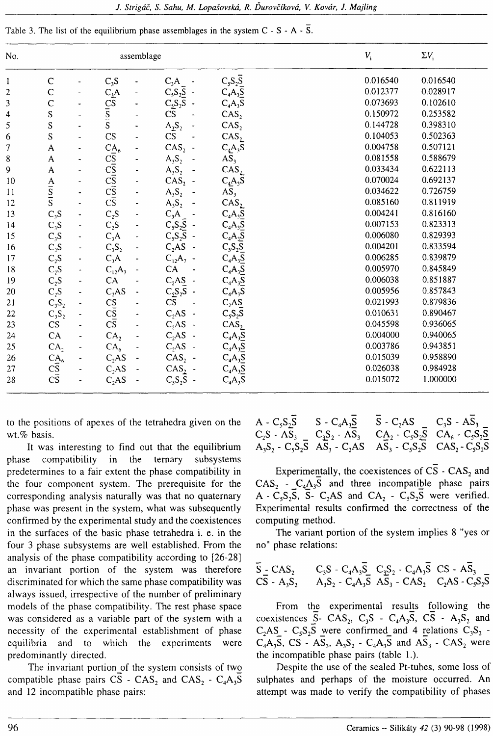| Table 3. The list of the equilibrium phase assemblages in the system $C - S - A - S$ . |
|----------------------------------------------------------------------------------------|
|----------------------------------------------------------------------------------------|

| No.                      |                                                              |                                                                                                        | assemblage               |                                                   |                                                                                                                                                                                                                                | $V_{\rm i}$ | $\Sigma V_i$ |
|--------------------------|--------------------------------------------------------------|--------------------------------------------------------------------------------------------------------|--------------------------|---------------------------------------------------|--------------------------------------------------------------------------------------------------------------------------------------------------------------------------------------------------------------------------------|-------------|--------------|
| l                        | $\mathsf{C}$                                                 | $C_3S$                                                                                                 |                          | $C_3A$                                            | $C_5S_2\overline{S}$                                                                                                                                                                                                           | 0.016540    | 0.016540     |
| $\overline{c}$           | $\mathsf{C}$                                                 |                                                                                                        |                          |                                                   | $C_4A_3\overline{S}$                                                                                                                                                                                                           | 0.012377    | 0.028917     |
| 3                        | $\mathbf C$                                                  |                                                                                                        |                          |                                                   | $C_4A_3S$                                                                                                                                                                                                                      | 0.073693    | 0.102610     |
| $\overline{\mathcal{L}}$ | S                                                            | $C_2A$<br>$C_5C_S$<br>$\overline{S}$<br>$\overline{S}$<br>$\overline{S}$                               |                          | $C_5S_2S$ -<br>$C_5S_2S$ -<br>CS -                | CAS <sub>2</sub>                                                                                                                                                                                                               | 0.150972    | 0.253582     |
| 5                        | $\overline{\mathbf{S}}$                                      |                                                                                                        |                          | $A_2S_2$<br>CS                                    | CAS <sub>2</sub>                                                                                                                                                                                                               | 0.144728    | 0.398310     |
| 6                        | ${\mathbf S}$                                                | $\mathsf{CS}\phantom{0}$                                                                               |                          |                                                   | CAS <sub>2</sub>                                                                                                                                                                                                               | 0.104053    | 0.502363     |
| $\overline{7}$           | A                                                            |                                                                                                        |                          | CAS <sub>2</sub><br>$\ddot{\phantom{0}}$          | $C_4A_3S$                                                                                                                                                                                                                      | 0.004758    | 0.507121     |
| $\bf 8$                  | A                                                            | $C_{\overline{S}}^{A_6}$<br>$C_{\overline{S}}^{C}$<br>$C_{\overline{S}}^{C}$<br>$C_{\overline{S}}^{C}$ |                          | $\mathsf{A}_3\mathsf{S}_2$                        | $\overline{AS}_3$                                                                                                                                                                                                              | 0.081558    | 0.588679     |
| $\boldsymbol{9}$         | $\mathsf{A}$                                                 |                                                                                                        |                          | $A_3S_2$                                          | CAS <sub>2</sub>                                                                                                                                                                                                               | 0.033434    | 0.622113     |
| $10\,$                   |                                                              |                                                                                                        |                          | $CAS2$ -                                          |                                                                                                                                                                                                                                | 0.070024    | 0.692137     |
| 11                       | $\frac{A}{S}$                                                |                                                                                                        |                          | $A_3S_2$                                          | $C_4A_3\overline{S}$<br>AS <sub>3</sub>                                                                                                                                                                                        | 0.034622    | 0.726759     |
| 12                       |                                                              |                                                                                                        |                          | $A_3S_2$                                          | CAS <sub>2</sub>                                                                                                                                                                                                               | 0.085160    | 0.811919     |
| 13                       | $C_3S$                                                       | $C_2S$                                                                                                 | $\overline{\phantom{0}}$ | $C_3A$<br>$C_5S_2S$ -<br>$C_5S_2S$ -<br>$C_2AS$ - | $C_4A_3S_2C_4A_3S_3C_4A_3S_1C_4A_3S_2C_4A_3S_2C_4A_3S_3C_4A_3S_3C_4A_3S_3C_4A_3S_3C_4A_3S_3C_3A_3C_3A_3C_3A_3C_3A_3C_3A_3C_3A_3C_3A_3C_3A_3C_3A_3C_3A_3C_3A_3C_3A_3C_3A_3C_3A_3C_3A_3C_3A_3C_3A_3C_3A_3C_3A_3C_3A_3C_3A_3C_3A$ | 0.004241    | 0.816160     |
| 14                       | $C_3S$<br>$C_3S$                                             | $C_2S$                                                                                                 | $\blacksquare$           |                                                   |                                                                                                                                                                                                                                | 0.007153    | 0.823313     |
| 15                       |                                                              | $C_3A$                                                                                                 | ÷,                       |                                                   |                                                                                                                                                                                                                                | 0.006080    | 0.829393     |
| 16                       |                                                              | $\mathrm{C}_3\mathrm{S}_2$                                                                             |                          |                                                   |                                                                                                                                                                                                                                | 0.004201    | 0.833594     |
| 17                       |                                                              | $C_3A$                                                                                                 |                          | $C_{12}A_{7}$ -                                   |                                                                                                                                                                                                                                | 0.006285    | 0.839879     |
| 18                       |                                                              | $C_{12}A_7$                                                                                            |                          | ${\rm CA}$                                        |                                                                                                                                                                                                                                | 0.005970    | 0.845849     |
| 19                       | $C_2S$<br>$C_2S$<br>$C_2S$<br>$C_3S$<br>$C_3S_2$<br>$C_3S_2$ | ${\sf CA}$                                                                                             |                          | $C_2AS$ -                                         |                                                                                                                                                                                                                                | 0.006038    | 0.851887     |
| 20                       |                                                              | $C_2AS$                                                                                                |                          | $C_2S_2S$ -                                       | $C_4A_3S$                                                                                                                                                                                                                      | 0.005956    | 0.857843     |
| 21                       |                                                              |                                                                                                        |                          | $\overline{\text{CS}}$<br>$\blacksquare$          | $C_2AS$                                                                                                                                                                                                                        | 0.021993    | 0.879836     |
| 22                       |                                                              | $rac{CS}{CS}$                                                                                          |                          | $C2AS -$                                          | $C_5S_2\overline{S}$                                                                                                                                                                                                           | 0.010631    | 0.890467     |
| 23                       |                                                              |                                                                                                        |                          | $C2AS -$                                          | CAS <sub>2</sub>                                                                                                                                                                                                               | 0.045598    | 0.936065     |
| 24                       | CA                                                           | CA <sub>2</sub>                                                                                        |                          | $C2AS -$                                          | $C_4A_3S$                                                                                                                                                                                                                      | 0.004000    | 0.940065     |
| 25                       | CA <sub>2</sub>                                              | CA <sub>6</sub>                                                                                        |                          | $C_2AS$ -                                         | $C_4A_3\overline{S}$                                                                                                                                                                                                           | 0.003786    | 0.943851     |
| 26                       | $\frac{CA_6}{C\overline{S}}$                                 | $C_2AS$                                                                                                |                          | $CAS2$ -                                          |                                                                                                                                                                                                                                | 0.015039    | 0.958890     |
| 27                       |                                                              | C <sub>2</sub> AS                                                                                      |                          | $CAS2$ -                                          |                                                                                                                                                                                                                                | 0.026038    | 0.984928     |
| 28                       |                                                              | C <sub>2</sub> AS                                                                                      |                          | $C_5S_2\overline{S}$ -                            | $C_4A_3S$<br>$C_4A_3S$<br>$C_4A_3S$                                                                                                                                                                                            | 0.015072    | 1.000000     |

to the positions of apexes of the tetrahedra given on the wt.% basis.

It was interesting to find out that the equilibrium phase compatibility in the ternary subsystems predetermines to a fair extent the phase compatibility in the four component system. The prerequisite for the corresponding analysis naturally was that no quaternary phase was present in the system, what was subsequently confirmed by the experimental study and the coexistences in the surfaces of the basic phase tetrahedra i. e. in the four 3 phase subsystems are well established. From the analysis of the phase compatibility according to [26-28] an invariant portion of the system was therefore discriminated for which the same phase compatibility was always issued, irrespective of the number of preliminary models of the phase compatibility. The rest phase space was considered as a variable part of the system with a necessity of the experimental establishment of phase equilibria and to which the experiments were predominantly directed.

The invariant portion of the system consists of two compatible phase pairs  $CS$  -  $CAS_2$  and  $CAS_2$  -  $C_4A_3S$ and 12 incompatible phase pairs:

| A - $C_5S_2S$ | $S - C_4A_3S$ | $S - C_2AS - C_3S - AS_3$                                            |  |
|---------------|---------------|----------------------------------------------------------------------|--|
|               |               | $C_2S - AS_3 = C_3S_2 - AS_3 = C_{12}C_3 - C_5S_2S - CA_6 - C_5S_2S$ |  |
|               |               | $A_3S_2 - C_5S_2S$ $AS_3 - C_2AS$ $AS_3 - C_5S_2S$ $CAS_2 - C_5S_2S$ |  |

Experimentally, the coexistences of  $\overline{CS}$  -  $\overline{CAS}_2$  and  $CAS_2 - C_4A_3\overline{S}$  and three incompatible phase pairs A -  $C_5S_2S$ ,  $S$ -  $C_2AS$  and  $CA_2$  -  $C_5S_2S$  were verified. Experimental results confirmed the correctness of the computing method.

The variant portion of the system implies 8 "yes or no" phase relations:

$$
\overline{S} - \text{CAS}_2 \qquad C_3S - C_4A_3\overline{S} - C_1S_2 - C_4A_3\overline{S} - \text{CS} - A_3\overline{S}_3
$$
  
\n
$$
\overline{CS} - A_3S_2 - A_3S_2 - C_4A_3\overline{S} - A_3S_3 - \text{CAS}_2 - C_2AS - C_5S_2\overline{S}
$$

From the experimental results following the coexistences  $\overline{S}$ - CAS<sub>2</sub>, C<sub>3</sub>S - C<sub>4</sub>A<sub>3</sub>S, C<sub>2</sub>S - A<sub>3</sub>S<sub>2</sub> and  $C_2AS - C_5S_2\overline{S}$  were confirmed and 4 relations  $C_3S_2$ .  $C_4A_3S$ , CS -  $AS_3$ ,  $A_3S_2$  -  $C_4A_3S$  and  $AS_3$  - CAS<sub>2</sub> were the incompatible phase pairs (table 1.).

Despite the use of the sealed Pt-tubes, some loss of sulphates and perhaps of the moisture occurred. An attempt was made to verify the compatibility of phases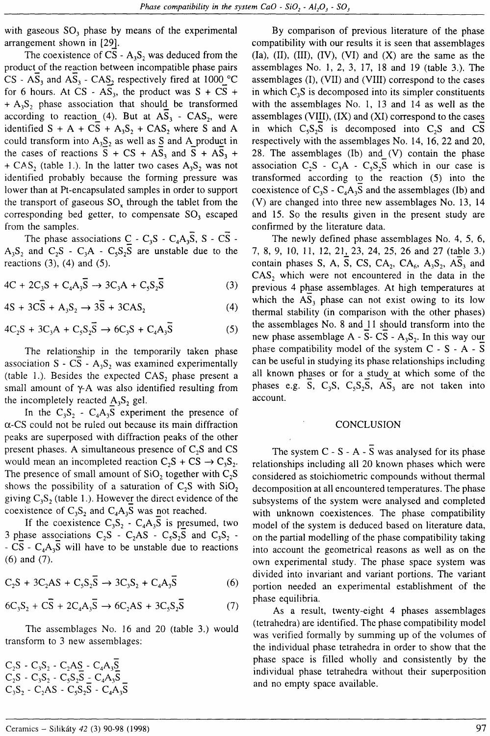with gaseous  $SO_3$  phase by means of the experimental arrangement shown in [29].

The coexistence of CS -  $A_3S_2$  was deduced from the product of the reaction between incompatible phase pairs CS -  $AS_3$  and  $AS_3$  -  $CAS_2$  respectively fired at 1000<sup>o</sup>C for 6 hours. At CS -  $AS_3$ , the product was S + CS + +  $A_3S_2$  phase association that should be transformed according to reaction (4). But at  $AS_3 - CAS_2$ , were identified  $S + A + CS + A_3S_2 + CAS_2$  where S and A could transform into  $A_3S_2$  as well as S and A\_product in the cases of reactions  $S + CS + AS_3$  and  $S + AS_3 +$ +  $CAS_2$  (table 1.). In the latter two cases  $A_3S_2$  was not identified probably because the forming pressure was lower than at Pt-encapsulated samples in order to support the transport of gaseous  $SO_{x}$  through the tablet from the coresponding bed getter, to compensate SO, escaped from the samples.

The phase associations  $\underline{C}$  - C<sub>3</sub>S - C<sub>4</sub>A<sub>3</sub>S, S - CS - $A_3S_2$  and  $C_2S - C_3A - C_5S_2S$  are unstable due to the reactions  $(3)$ ,  $(4)$  and  $(5)$ .

 $4C + 2C_3S + C_4A_3\overline{S} \rightarrow 3C_3A + C_5S_3\overline{S}$  (3)

$$
4S + 3\overline{CS} + A_3S_2 \rightarrow 3\overline{S} + 3\overline{CAS}_2 \tag{4}
$$

$$
4C_2S + 3C_3A + C_5S_2\overline{S} \rightarrow 6C_3S + C_4A_3\overline{S}
$$
 (5)

The relationship in the temporarily taken phase association  $S - CS - A_1S_2$  was examined experimentally (table 1.). Besides the expected  $CAS_2$  phase present a small amount of  $\gamma$ -A was also identified resulting from the incompletely reacted  $A_3S_2$  gel.

In the  $C_3S_2 - C_4A_3S$  experiment the presence of  $\alpha$ -CS could not be ruied out because its main diffraction peaks are superposed with diffraction peaks of the other present phases. A simultaneous presence of  $C_2S$  and CS would mean an incompleted reaction  $C_2S + CS \rightarrow C_3S_2$ . The presence of small amount of  $SiO<sub>2</sub>$  together with  $C<sub>2</sub>S$ shows the possibility of a saturation of  $C_2S$  with  $SiO_2$ giving  $C_3S_2$  (table 1.). However the direct evidence of the coexistence of  $C_3S_2$  and  $C_4A_3S$  was not reached.

If the coexistence  $C_3S_2 - C_4A_3S$  is presumed, two 3 phase associations  $C_2S - C_2AS - C_5S_2S$  and  $C_3S_2$  -- CS -  $C_4A_3S$  will have to be unstable due to reactions (6) and (7).

$$
C_2S + 3C_2AS + C_5S_2\overline{S} \to 3C_3S_2 + C_4A_3\overline{S}
$$
 (6)

$$
6C_3S_2 + C\overline{S} + 2C_4A_3\overline{S} \rightarrow 6C_2AS + 3C_5S_2\overline{S}
$$
 (7)

The assemblages No. 16 and 20 (table 3.) would transform to 3 new assemblages:

 $C_2S - C_3S_2 - C_2AS - C_4A_3S$  $C_2$ S -  $C_3$ S<sub>2</sub> -  $C_5$ S<sub>2</sub>S -  $C_4$ A<sub>3</sub>S  $C_3S_2$  -  $C_2AS$  -  $C_5S_2\overline{S}$  -  $C_4A_3\overline{S}$ 

By comparison of previous literature of the phase compatibility with our results it is seen that assemblages  $(Ia)$ ,  $(II)$ ,  $(III)$ ,  $(IV)$ ,  $(VI)$  and  $(X)$  are the same as the assemblages No. I, 2, 3, 17, 18 and 19 (table 3.). The assemblages (I), (VII) and (VIII) correspond to the cases in which  $C_3S$  is decomposed into its simpler constituents with the assemblages No. l, 13 and 14 as well as the assemblages (VIII),  $(IX)$  and  $(XI)$  correspond to the cases in which  $C_5S_2S$  is decomposed into  $C_2S$  and CS respectively with the assemblages No. 14, 16,22 and 20, 28. The assemblages  $(Ib)$  and  $(V)$  contain the phase association  $C_2S - C_3A - C_5S_2S$  which in our case is transformed according to the reaction  $(5)$  into the coexistence of  $C_3S - C_4A_3S$  and the assemblages (Ib) and (V) are changed into three new assemblages No. 13, 14 and 15. So the results given in the present study are confirmed by the literature data.

The newly defined phase assemblages No. 4, 5, 6, 7, 8, 9, 10, 11, 12, 21, 23, 24, 25, 26 and 27 (table 3.) contain phases S, A, S, CS, CA<sub>2</sub>, CA<sub>6</sub>, A<sub>3</sub>S<sub>2</sub>, AS<sub>3</sub> and  $CAS<sub>2</sub>$  which were not encountered in the data in the previous 4 phase assemblages. At high temperatures at which the  $AS<sub>3</sub>$  phase can not exist owing to its low thermal stability (in comparison with the other phases) the assemblages No. 8 and 11 should transform into the new phase assemblage  $A - S - CS - A_3S_2$ . In this way our phase compatibility model of the system  $C - S - A - S$ can be useful in studying its phase relationships including all known phases or for a study at which some of the phases e.g. S,  $C_3S$ ,  $C_5S_2S$ ,  $AS_3$  are not taken into account.

## CONCLUSION

The system  $C - S - A - \overline{S}$  was analysed for its phase relationships including all 20 known phases which were considered as stoichiometric compounds without thermal decomposition at all encountered temperatures. The phase subsystems of the system were analysed and completed with unknown coexistences. The phase compatibility model of the system is deduced based on literature data, on the partial modelling of the phase compatibility taking into account the geometrical reasons as well as on the own experimental study. The phase space system was divided into invariant and variant portions. The variant portion needed an experimental establishment of the phase equilibria.

As a result, twenty-eight 4 phases assemblages (tetrahedra) are identified. The phase compatibility model was verified formally by summing up of the volumes of the individual phase tetrahedra in order to show that the phase space is filled wholly and consistently by the individual phase tetrahedra without their superposition and no empty space available.